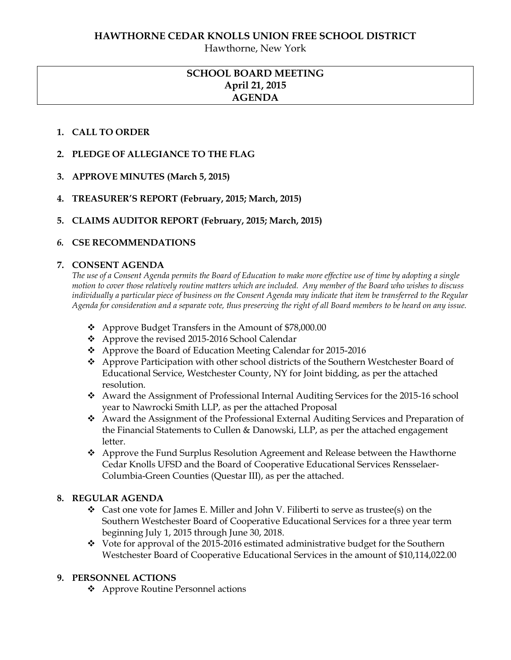Hawthorne, New York

# **SCHOOL BOARD MEETING April 21, 2015 AGENDA**

### **1. CALL TO ORDER**

- **2. PLEDGE OF ALLEGIANCE TO THE FLAG**
- **3. APPROVE MINUTES (March 5, 2015)**
- **4. TREASURER'S REPORT (February, 2015; March, 2015)**
- **5. CLAIMS AUDITOR REPORT (February, 2015; March, 2015)**

### *6.* **CSE RECOMMENDATIONS**

#### **7. CONSENT AGENDA**

*The use of a Consent Agenda permits the Board of Education to make more effective use of time by adopting a single motion to cover those relatively routine matters which are included. Any member of the Board who wishes to discuss individually a particular piece of business on the Consent Agenda may indicate that item be transferred to the Regular Agenda for consideration and a separate vote, thus preserving the right of all Board members to be heard on any issue.* 

- ❖ Approve Budget Transfers in the Amount of \$78,000.00
- Approve the revised 2015-2016 School Calendar
- Approve the Board of Education Meeting Calendar for 2015-2016
- Approve Participation with other school districts of the Southern Westchester Board of Educational Service, Westchester County, NY for Joint bidding, as per the attached resolution.
- Award the Assignment of Professional Internal Auditing Services for the 2015-16 school year to Nawrocki Smith LLP, as per the attached Proposal
- Award the Assignment of the Professional External Auditing Services and Preparation of the Financial Statements to Cullen & Danowski, LLP, as per the attached engagement letter.
- Approve the Fund Surplus Resolution Agreement and Release between the Hawthorne Cedar Knolls UFSD and the Board of Cooperative Educational Services Rensselaer-Columbia-Green Counties (Questar III), as per the attached.

#### **8. REGULAR AGENDA**

- $\div$  Cast one vote for James E. Miller and John V. Filiberti to serve as trustee(s) on the Southern Westchester Board of Cooperative Educational Services for a three year term beginning July 1, 2015 through June 30, 2018.
- $\div$  Vote for approval of the 2015-2016 estimated administrative budget for the Southern Westchester Board of Cooperative Educational Services in the amount of \$10,114,022.00

#### **9. PERSONNEL ACTIONS**

Approve Routine Personnel actions